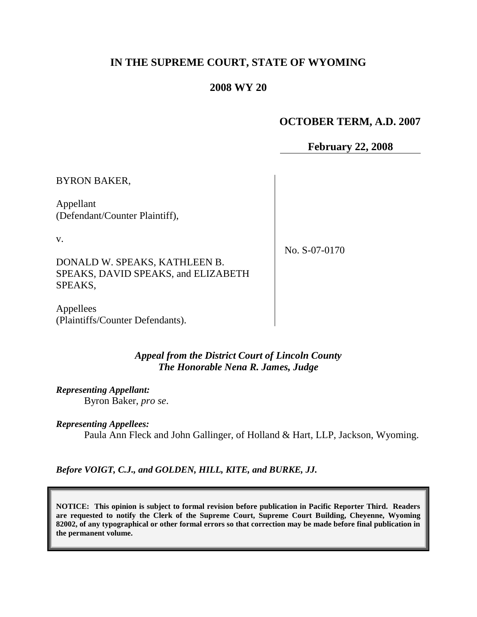# **IN THE SUPREME COURT, STATE OF WYOMING**

## **2008 WY 20**

# **OCTOBER TERM, A.D. 2007**

**February 22, 2008**

BYRON BAKER,

Appellant (Defendant/Counter Plaintiff),

v.

No. S-07-0170

DONALD W. SPEAKS, KATHLEEN B. SPEAKS, DAVID SPEAKS, and ELIZABETH SPEAKS,

Appellees (Plaintiffs/Counter Defendants).

> *Appeal from the District Court of Lincoln County The Honorable Nena R. James, Judge*

*Representing Appellant:* Byron Baker, *pro se*.

*Representing Appellees:* Paula Ann Fleck and John Gallinger, of Holland & Hart, LLP, Jackson, Wyoming.

*Before VOIGT, C.J., and GOLDEN, HILL, KITE, and BURKE, JJ.*

**NOTICE: This opinion is subject to formal revision before publication in Pacific Reporter Third. Readers are requested to notify the Clerk of the Supreme Court, Supreme Court Building, Cheyenne, Wyoming 82002, of any typographical or other formal errors so that correction may be made before final publication in the permanent volume.**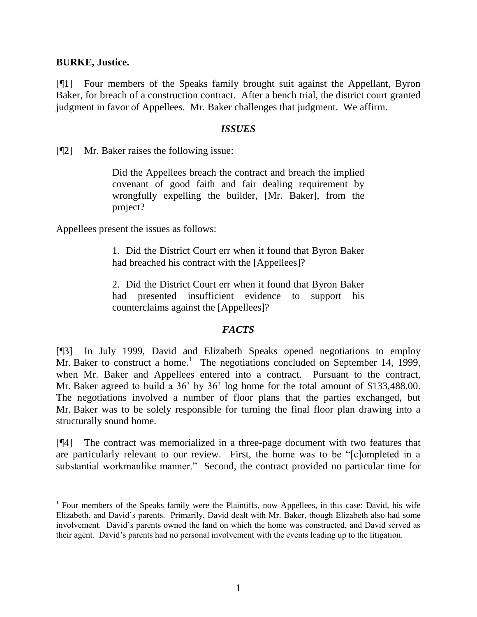### **BURKE, Justice.**

 $\overline{a}$ 

[¶1] Four members of the Speaks family brought suit against the Appellant, Byron Baker, for breach of a construction contract. After a bench trial, the district court granted judgment in favor of Appellees. Mr. Baker challenges that judgment. We affirm.

#### *ISSUES*

[¶2] Mr. Baker raises the following issue:

Did the Appellees breach the contract and breach the implied covenant of good faith and fair dealing requirement by wrongfully expelling the builder, [Mr. Baker], from the project?

Appellees present the issues as follows:

1. Did the District Court err when it found that Byron Baker had breached his contract with the [Appellees]?

2. Did the District Court err when it found that Byron Baker had presented insufficient evidence to support his counterclaims against the [Appellees]?

## *FACTS*

[¶3] In July 1999, David and Elizabeth Speaks opened negotiations to employ Mr. Baker to construct a home.<sup>1</sup> The negotiations concluded on September 14, 1999, when Mr. Baker and Appellees entered into a contract. Pursuant to the contract, Mr. Baker agreed to build a 36' by 36' log home for the total amount of \$133,488.00. The negotiations involved a number of floor plans that the parties exchanged, but Mr. Baker was to be solely responsible for turning the final floor plan drawing into a structurally sound home.

[¶4] The contract was memorialized in a three-page document with two features that are particularly relevant to our review. First, the home was to be "[c]ompleted in a substantial workmanlike manner." Second, the contract provided no particular time for

<sup>&</sup>lt;sup>1</sup> Four members of the Speaks family were the Plaintiffs, now Appellees, in this case: David, his wife Elizabeth, and David's parents. Primarily, David dealt with Mr. Baker, though Elizabeth also had some involvement. David's parents owned the land on which the home was constructed, and David served as their agent. David's parents had no personal involvement with the events leading up to the litigation.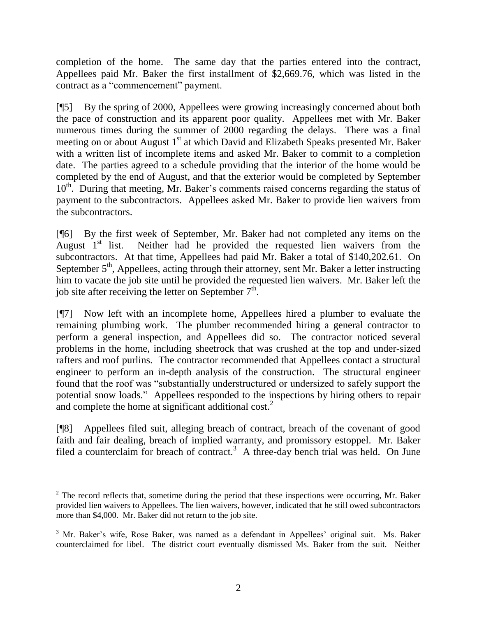completion of the home. The same day that the parties entered into the contract, Appellees paid Mr. Baker the first installment of \$2,669.76, which was listed in the contract as a "commencement" payment.

[¶5] By the spring of 2000, Appellees were growing increasingly concerned about both the pace of construction and its apparent poor quality. Appellees met with Mr. Baker numerous times during the summer of 2000 regarding the delays. There was a final meeting on or about August 1<sup>st</sup> at which David and Elizabeth Speaks presented Mr. Baker with a written list of incomplete items and asked Mr. Baker to commit to a completion date. The parties agreed to a schedule providing that the interior of the home would be completed by the end of August, and that the exterior would be completed by September 10<sup>th</sup>. During that meeting, Mr. Baker's comments raised concerns regarding the status of payment to the subcontractors. Appellees asked Mr. Baker to provide lien waivers from the subcontractors.

[¶6] By the first week of September, Mr. Baker had not completed any items on the August  $1<sup>st</sup>$  list. Neither had he provided the requested lien waivers from the subcontractors. At that time, Appellees had paid Mr. Baker a total of \$140,202.61. On September  $5<sup>th</sup>$ , Appellees, acting through their attorney, sent Mr. Baker a letter instructing him to vacate the job site until he provided the requested lien waivers. Mr. Baker left the job site after receiving the letter on September  $7<sup>th</sup>$ .

[¶7] Now left with an incomplete home, Appellees hired a plumber to evaluate the remaining plumbing work. The plumber recommended hiring a general contractor to perform a general inspection, and Appellees did so. The contractor noticed several problems in the home, including sheetrock that was crushed at the top and under-sized rafters and roof purlins. The contractor recommended that Appellees contact a structural engineer to perform an in-depth analysis of the construction. The structural engineer found that the roof was "substantially understructured or undersized to safely support the potential snow loads." Appellees responded to the inspections by hiring others to repair and complete the home at significant additional cost.<sup>2</sup>

[¶8] Appellees filed suit, alleging breach of contract, breach of the covenant of good faith and fair dealing, breach of implied warranty, and promissory estoppel. Mr. Baker filed a counterclaim for breach of contract.<sup>3</sup> A three-day bench trial was held. On June

 $2$  The record reflects that, sometime during the period that these inspections were occurring, Mr. Baker provided lien waivers to Appellees. The lien waivers, however, indicated that he still owed subcontractors more than \$4,000. Mr. Baker did not return to the job site.

<sup>&</sup>lt;sup>3</sup> Mr. Baker's wife, Rose Baker, was named as a defendant in Appellees' original suit. Ms. Baker counterclaimed for libel. The district court eventually dismissed Ms. Baker from the suit. Neither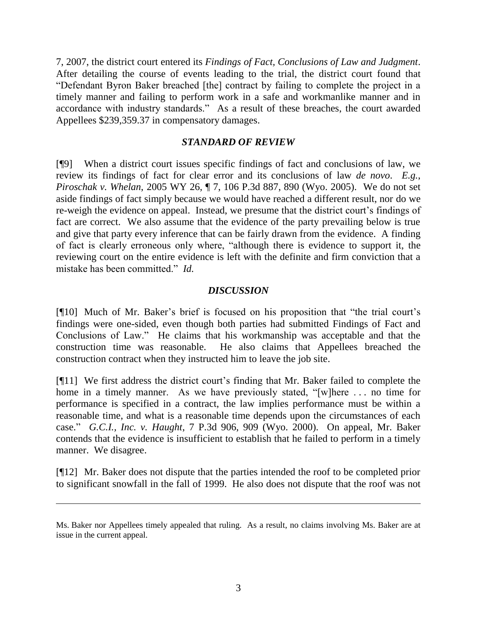7, 2007, the district court entered its *Findings of Fact, Conclusions of Law and Judgment*. After detailing the course of events leading to the trial, the district court found that "Defendant Byron Baker breached [the] contract by failing to complete the project in a timely manner and failing to perform work in a safe and workmanlike manner and in accordance with industry standards." As a result of these breaches, the court awarded Appellees \$239,359.37 in compensatory damages.

### *STANDARD OF REVIEW*

[¶9] When a district court issues specific findings of fact and conclusions of law, we review its findings of fact for clear error and its conclusions of law *de novo*. *E.g.*, *Piroschak v. Whelan*, 2005 WY 26, ¶ 7, 106 P.3d 887, 890 (Wyo. 2005). We do not set aside findings of fact simply because we would have reached a different result, nor do we re-weigh the evidence on appeal. Instead, we presume that the district court's findings of fact are correct. We also assume that the evidence of the party prevailing below is true and give that party every inference that can be fairly drawn from the evidence. A finding of fact is clearly erroneous only where, "although there is evidence to support it, the reviewing court on the entire evidence is left with the definite and firm conviction that a mistake has been committed." *Id.*

## *DISCUSSION*

[¶10] Much of Mr. Baker's brief is focused on his proposition that "the trial court's findings were one-sided, even though both parties had submitted Findings of Fact and Conclusions of Law." He claims that his workmanship was acceptable and that the construction time was reasonable. He also claims that Appellees breached the construction contract when they instructed him to leave the job site.

[¶11] We first address the district court's finding that Mr. Baker failed to complete the home in a timely manner. As we have previously stated, "[w]here . . . no time for performance is specified in a contract, the law implies performance must be within a reasonable time, and what is a reasonable time depends upon the circumstances of each case." *G.C.I., Inc. v. Haught*, 7 P.3d 906, 909 (Wyo. 2000). On appeal, Mr. Baker contends that the evidence is insufficient to establish that he failed to perform in a timely manner. We disagree.

[¶12] Mr. Baker does not dispute that the parties intended the roof to be completed prior to significant snowfall in the fall of 1999. He also does not dispute that the roof was not

Ms. Baker nor Appellees timely appealed that ruling. As a result, no claims involving Ms. Baker are at issue in the current appeal.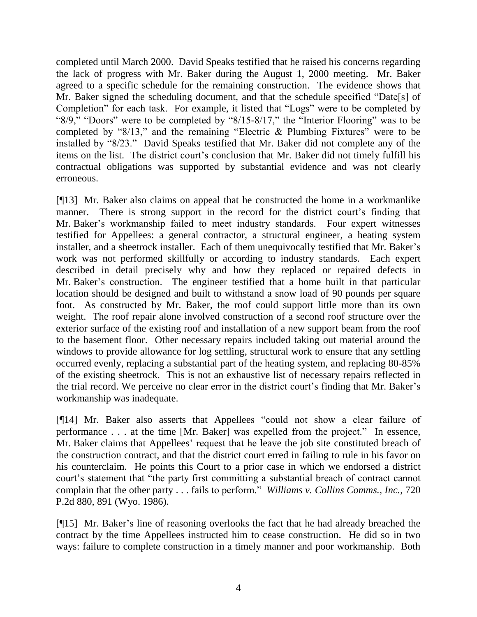completed until March 2000. David Speaks testified that he raised his concerns regarding the lack of progress with Mr. Baker during the August 1, 2000 meeting. Mr. Baker agreed to a specific schedule for the remaining construction. The evidence shows that Mr. Baker signed the scheduling document, and that the schedule specified "Date[s] of Completion" for each task. For example, it listed that "Logs" were to be completed by "8/9," "Doors" were to be completed by "8/15-8/17," the "Interior Flooring" was to be completed by " $8/13$ ," and the remaining "Electric & Plumbing Fixtures" were to be installed by "8/23." David Speaks testified that Mr. Baker did not complete any of the items on the list. The district court's conclusion that Mr. Baker did not timely fulfill his contractual obligations was supported by substantial evidence and was not clearly erroneous.

[¶13] Mr. Baker also claims on appeal that he constructed the home in a workmanlike manner. There is strong support in the record for the district court's finding that Mr. Baker's workmanship failed to meet industry standards. Four expert witnesses testified for Appellees: a general contractor, a structural engineer, a heating system installer, and a sheetrock installer. Each of them unequivocally testified that Mr. Baker's work was not performed skillfully or according to industry standards. Each expert described in detail precisely why and how they replaced or repaired defects in Mr. Baker's construction. The engineer testified that a home built in that particular location should be designed and built to withstand a snow load of 90 pounds per square foot. As constructed by Mr. Baker, the roof could support little more than its own weight. The roof repair alone involved construction of a second roof structure over the exterior surface of the existing roof and installation of a new support beam from the roof to the basement floor. Other necessary repairs included taking out material around the windows to provide allowance for log settling, structural work to ensure that any settling occurred evenly, replacing a substantial part of the heating system, and replacing 80-85% of the existing sheetrock. This is not an exhaustive list of necessary repairs reflected in the trial record. We perceive no clear error in the district court's finding that Mr. Baker's workmanship was inadequate.

[¶14] Mr. Baker also asserts that Appellees "could not show a clear failure of performance . . . at the time [Mr. Baker] was expelled from the project." In essence, Mr. Baker claims that Appellees' request that he leave the job site constituted breach of the construction contract, and that the district court erred in failing to rule in his favor on his counterclaim. He points this Court to a prior case in which we endorsed a district court's statement that "the party first committing a substantial breach of contract cannot complain that the other party . . . fails to perform." *Williams v. Collins Comms., Inc.*, 720 P.2d 880, 891 (Wyo. 1986).

[¶15] Mr. Baker's line of reasoning overlooks the fact that he had already breached the contract by the time Appellees instructed him to cease construction. He did so in two ways: failure to complete construction in a timely manner and poor workmanship. Both